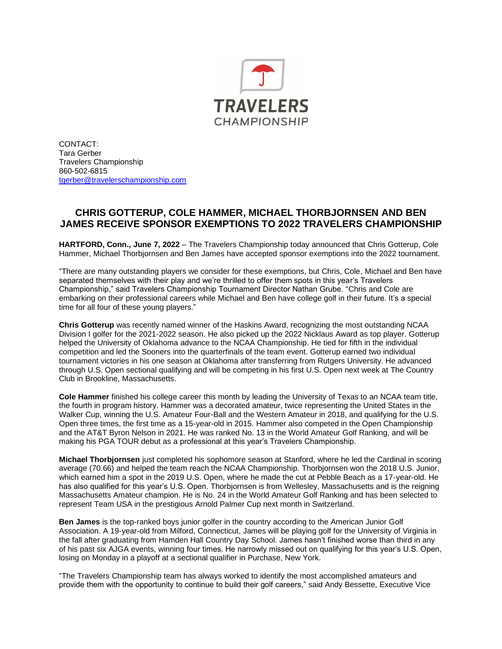

CONTACT: Tara Gerber Travelers Championship 860-502-6815 [tgerber@travelerschampionship.com](mailto:tgerber@travelerschampionship.com)

## **CHRIS GOTTERUP, COLE HAMMER, MICHAEL THORBJORNSEN AND BEN JAMES RECEIVE SPONSOR EXEMPTIONS TO 2022 TRAVELERS CHAMPIONSHIP**

**HARTFORD, Conn., June 7, 2022** – The Travelers Championship today announced that Chris Gotterup, Cole Hammer, Michael Thorbjornsen and Ben James have accepted sponsor exemptions into the 2022 tournament.

"There are many outstanding players we consider for these exemptions, but Chris, Cole, Michael and Ben have separated themselves with their play and we're thrilled to offer them spots in this year's Travelers Championship," said Travelers Championship Tournament Director Nathan Grube. "Chris and Cole are embarking on their professional careers while Michael and Ben have college golf in their future. It's a special time for all four of these young players."

**Chris Gotterup** was recently named winner of the Haskins Award, recognizing the most outstanding NCAA Division I golfer for the 2021-2022 season. He also picked up the 2022 Nicklaus Award as top player. Gotterup helped the University of Oklahoma advance to the NCAA Championship. He tied for fifth in the individual competition and led the Sooners into the quarterfinals of the team event. Gotterup earned two individual tournament victories in his one season at Oklahoma after transferring from Rutgers University. He advanced through U.S. Open sectional qualifying and will be competing in his first U.S. Open next week at The Country Club in Brookline, Massachusetts.

**Cole Hammer** finished his college career this month by leading the University of Texas to an NCAA team title, the fourth in program history. Hammer was a decorated amateur, twice representing the United States in the Walker Cup, winning the U.S. Amateur Four-Ball and the Western Amateur in 2018, and qualifying for the U.S. Open three times, the first time as a 15-year-old in 2015. Hammer also competed in the Open Championship and the AT&T Byron Nelson in 2021. He was ranked No. 13 in the World Amateur Golf Ranking, and will be making his PGA TOUR debut as a professional at this year's Travelers Championship.

**Michael Thorbjornsen** just completed his sophomore season at Stanford, where he led the Cardinal in scoring average (70.66) and helped the team reach the NCAA Championship. Thorbjornsen won the 2018 U.S. Junior, which earned him a spot in the 2019 U.S. Open, where he made the cut at Pebble Beach as a 17-year-old. He has also qualified for this year's U.S. Open. Thorbjornsen is from Wellesley, Massachusetts and is the reigning Massachusetts Amateur champion. He is No. 24 in the World Amateur Golf Ranking and has been selected to represent Team USA in the prestigious Arnold Palmer Cup next month in Switzerland.

**Ben James** is the top-ranked boys junior golfer in the country according to the American Junior Golf Association. A 19-year-old from Milford, Connecticut, James will be playing golf for the University of Virginia in the fall after graduating from Hamden Hall Country Day School. James hasn't finished worse than third in any of his past six AJGA events, winning four times. He narrowly missed out on qualifying for this year's U.S. Open, losing on Monday in a playoff at a sectional qualifier in Purchase, New York.

"The Travelers Championship team has always worked to identify the most accomplished amateurs and provide them with the opportunity to continue to build their golf careers," said Andy Bessette, Executive Vice